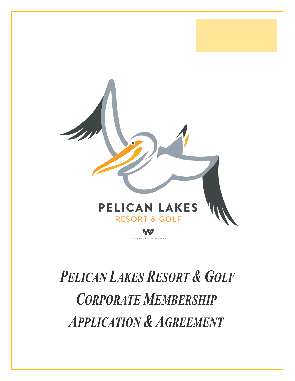

\_\_\_\_\_\_\_\_\_\_\_\_\_\_\_\_\_\_\_\_\_\_\_\_\_\_\_

\_\_\_\_\_\_\_\_\_\_\_\_\_\_\_\_\_\_\_\_\_\_\_\_\_\_\_

## *PELICAN LAKES RESORT & GOLF CORPORATE MEMBERSHIP APPLICATION & AGREEMENT*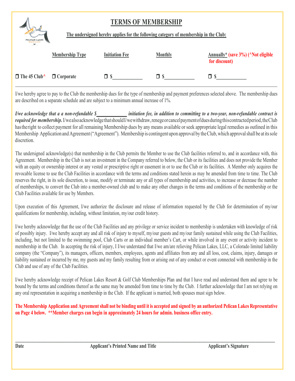## **TERMS OF MEMBERSHIP**



**The undersigned hereby applies for the following category of membership in the Club:**

|                                      | <b>Membership Type</b> | <b>Initiation Fee</b> | <b>Monthly</b> | <b>Annually*</b> (save 3%) (^Not eligible<br>for discount) |
|--------------------------------------|------------------------|-----------------------|----------------|------------------------------------------------------------|
| $\Box$ The 45 Club^ $\Box$ Corporate |                        | ПS                    | ⊓ \$           | ПS                                                         |

I/we hereby agree to pay to the Club the membership dues for the type of membership and payment preferences selected above. The membership dues are described on a separate schedule and are subject to a minimum annual increase of 1%.

*I/we acknowledge that a a non-refundable \$\_\_\_\_\_\_\_\_\_\_\_\_\_\_ initiation fee, in addition to committing to a two-year, non-refundable contract is required for membership.* I/wealsoacknowledgethatshouldI/wewithdraw, renegeorcancel payment of duesduring this contracted period, the Club hastheright to collect payment for all remaining Membership dues by any means available or seek appropriate legal remedies as outlined in this Membership Application and Agreement("Agreement"). Membership is contingent upon approval by theClub,which approvalshall be at itssole discretion.

The undersigned acknowledge(s) that membership in the Club permits the Member to use the Club facilities referred to, and in accordance with, this Agreement. Membership in the Club is not an investment in the Company referred to below, the Club or its facilities and does not provide the Member with an equity or ownership interest or any vested or prescriptive right or easement in or to use the Club or its facilities. A Member only acquires the revocable license to use the Club Facilities in accordance with the terms and conditions stated herein as may be amended from time to time. The Club reserves the right, in its sole discretion, to issue, modify or terminate any or all types of membership and activities, to increase or decrease the number of memberships, to convert the Club into a member-owned club and to make any other changes in the terms and conditions of the membership or the Club Facilities available for use by Members.

Upon execution of this Agreement, I/we authorize the disclosure and release of information requested by the Club for determination of my/our qualifications for membership, including, without limitation, my/our credit history.

I/we hereby acknowledge that the use of the Club Facilities and any privilege or service incident to membership is undertaken with knowledge of risk of possibly injury. I/we hereby accept any and all risk of injury to myself, my/our guests and my/our family sustained while using the Club Facilities, including, but not limited to the swimming pool, Club Carts or an individual member's Cart, or while involved in any event or activity incident to membership in the Club. In accepting the risk of injury, I I/we understand that I/we am/are relieving Pelican Lakes, LLC, a Colorado limited liability company (the "Company"), its managers, officers, members, employees, agents and affiliates from any and all loss, cost, claims, injury, damages or liability sustained or incurred by me, my guests and my family resulting from or arising out of any conduct or event connected with membership in the Club and use of any of the Club Facilities.

I/we hereby acknowledge receipt of Pelican Lakes Resort & Golf Club Memberships Plan and that I have read and understand them and agree to be bound by the terms and conditions thereof as the same may be amended from time to time by the Club. I further acknowledge that I am not relying on any oral representation in acquiring a membership in the Club. If the applicant is married, both spouses must sign below.

**The Membership Application and Agreement shall not be binding until it is accepted and signed by an authorized Pelican Lakes Representative on Page 4 below. \*\*Member charges can begin in approximately 24 hours for admin. business office entry.**

 $\mathcal{L} = \{ \mathcal{L} \mathcal{L} \mathcal{L} \mathcal{L} \mathcal{L} \mathcal{L} \mathcal{L} \mathcal{L} \mathcal{L} \mathcal{L} \mathcal{L} \mathcal{L} \mathcal{L} \mathcal{L} \mathcal{L} \mathcal{L} \mathcal{L} \mathcal{L} \mathcal{L} \mathcal{L} \mathcal{L} \mathcal{L} \mathcal{L} \mathcal{L} \mathcal{L} \mathcal{L} \mathcal{L} \mathcal{L} \mathcal{L} \mathcal{L} \mathcal{L} \mathcal{L} \mathcal{L} \mathcal{L} \mathcal{L} \$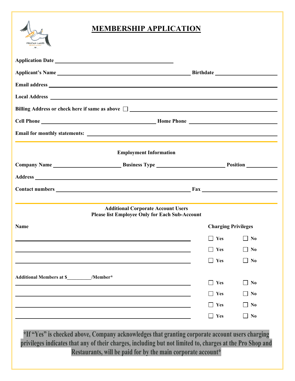

|                                   | Billing Address or check here if same as above $\Box$                                              |                            |                |  |  |
|-----------------------------------|----------------------------------------------------------------------------------------------------|----------------------------|----------------|--|--|
|                                   |                                                                                                    |                            |                |  |  |
|                                   |                                                                                                    |                            |                |  |  |
|                                   | <b>Employment Information</b>                                                                      |                            |                |  |  |
|                                   | Company Name Business Type <b>Example 2018</b> Position                                            |                            |                |  |  |
|                                   |                                                                                                    |                            |                |  |  |
|                                   |                                                                                                    |                            |                |  |  |
| <b>Name</b>                       | <b>Additional Corporate Account Users</b><br><b>Please list Employee Only for Each Sub-Account</b> | <b>Charging Privileges</b> |                |  |  |
|                                   |                                                                                                    | $\Box$ Yes                 | No             |  |  |
|                                   |                                                                                                    | Yes                        | $\vert$   No   |  |  |
|                                   |                                                                                                    | Yes                        | N <sub>0</sub> |  |  |
| Additional Members at \$ /Member* |                                                                                                    |                            |                |  |  |
|                                   |                                                                                                    | Yes                        | N <sub>0</sub> |  |  |
|                                   |                                                                                                    | Yes                        | N <sub>0</sub> |  |  |
|                                   |                                                                                                    | Yes                        | N <sub>0</sub> |  |  |
|                                   |                                                                                                    | $\blacksquare$ Yes         | N <sub>0</sub> |  |  |

**\*If "Yes" is checked above, Company acknowledges that granting corporate account users charging privileges indicates that any of their charges, including but not limited to, charges at the Pro Shop and Restaurants, will be paid for by the main corporate account\***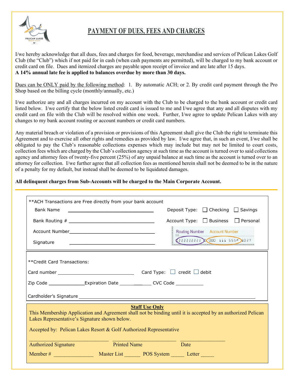

## **PAYMENT OF DUES, FEES AND CHARGES**

I/we hereby acknowledge that all dues, fees and charges for food, beverage, merchandise and services of Pelican Lakes Golf Club (the "Club") which if not paid for in cash (when cash payments are permitted), will be charged to my bank account or credit card on file. Dues and itemized charges are payable upon receipt of invoice and are late after 15 days. **A 14% annual late fee is applied to balances overdue by more than 30 days.**

Dues can be ONLY paid by the following method: 1. By automatic ACH; or 2. By credit card payment through the Pro Shop based on the billing cycle (monthly/annually, etc.)

I/we authorize any and all charges incurred on my account with the Club to be charged to the bank account or credit card listed below. I/we certify that the below listed credit card is issued to me and I/we agree that any and all disputes with my credit card on file with the Club will be resolved within one week. Further, I/we agree to update Pelican Lakes with any changes to my bank account routing or account numbers or credit card numbers.

Any material breach or violation of a provision or provisions of this Agreement shall give the Club the right to terminate this Agreement and to exercise all other rights and remedies as provided by law. I/we agree that, in such an event, I/we shall be obligated to pay the Club's reasonable collections expenses which may include but may not be limited to court costs, collection fees which are charged by the Club's collection agency at such time as the account is turned over to said collections agency and attorney fees of twenty-five percent (25%) of any unpaid balance at such time as the account is turned over to an attorney for collection. I/we further agree that all collection fees as mentioned herein shall not be deemed to be in the nature of a penalty for my default, but instead shall be deemed to be liquidated damages.

## **All delinquent charges from Sub-Accounts will be charged to the Main Corporate Account.**

| **ACH Transactions are Free directly from your bank account                                                                                                                                                                                                  |                                                             |                                |                                              |  |  |  |  |  |  |
|--------------------------------------------------------------------------------------------------------------------------------------------------------------------------------------------------------------------------------------------------------------|-------------------------------------------------------------|--------------------------------|----------------------------------------------|--|--|--|--|--|--|
| <b>Bank Name</b>                                                                                                                                                                                                                                             | <u> 1989 - John Stein, Amerikaansk politiker (</u>          |                                | Deposit Type: $\Box$ Checking $\Box$ Savings |  |  |  |  |  |  |
|                                                                                                                                                                                                                                                              |                                                             |                                | Account Type: □ Business □ Personal          |  |  |  |  |  |  |
|                                                                                                                                                                                                                                                              |                                                             | Routing Number Account Number  |                                              |  |  |  |  |  |  |
| Signature                                                                                                                                                                                                                                                    | <u> 1989 - Johann Stoff, amerikansk politiker (d. 1989)</u> | (222222222): 000 111 555")1027 |                                              |  |  |  |  |  |  |
| **Credit Card Transactions:                                                                                                                                                                                                                                  |                                                             |                                |                                              |  |  |  |  |  |  |
|                                                                                                                                                                                                                                                              |                                                             |                                |                                              |  |  |  |  |  |  |
| Zip Code __________________Expiration Date _______________CVC Code _____________                                                                                                                                                                             |                                                             |                                |                                              |  |  |  |  |  |  |
|                                                                                                                                                                                                                                                              |                                                             |                                |                                              |  |  |  |  |  |  |
| <b>Staff Use Only</b><br>This Membership Application and Agreement shall not be binding until it is accepted by an authorized Pelican<br>Lakes Representative's Signature shown below.<br>Accepted by: Pelican Lakes Resort & Golf Authorized Representative |                                                             |                                |                                              |  |  |  |  |  |  |
| <b>Authorized Signature</b>                                                                                                                                                                                                                                  | <b>Example 2 Printed Name</b>                               |                                | <b>Example 1</b> Date                        |  |  |  |  |  |  |
| Member # Master List POS System Letter                                                                                                                                                                                                                       |                                                             |                                |                                              |  |  |  |  |  |  |